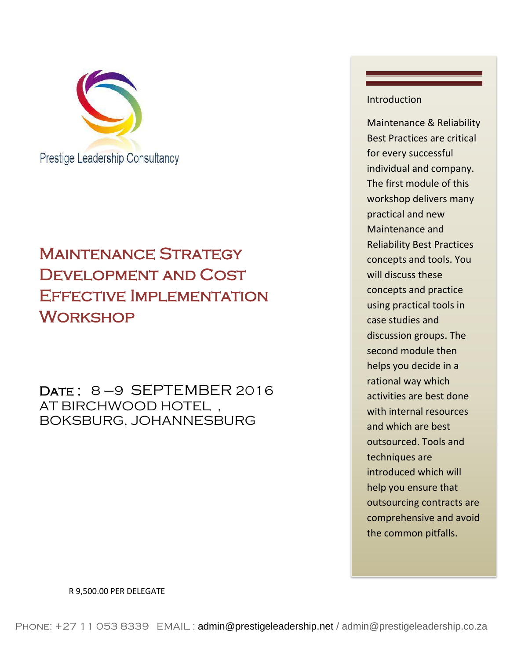

# Maintenance Strategy DEVELOPMENT AND COST Effective Implementation **WORKSHOP**

DATE: 8-9 SEPTEMBER 2016 AT BIRCHWOOD HOTEL , BOKSBURG, JOHANNESBURG

### Introduction

Maintenance & Reliability Best Practices are critical for every successful individual and company. The first module of this workshop delivers many practical and new Maintenance and Reliability Best Practices concepts and tools. You will discuss these concepts and practice using practical tools in case studies and discussion groups. The second module then helps you decide in a rational way which activities are best done with internal resources and which are best outsourced. Tools and techniques are introduced which will help you ensure that outsourcing contracts are comprehensive and avoid the common pitfalls.

R 9,500.00 PER DELEGATE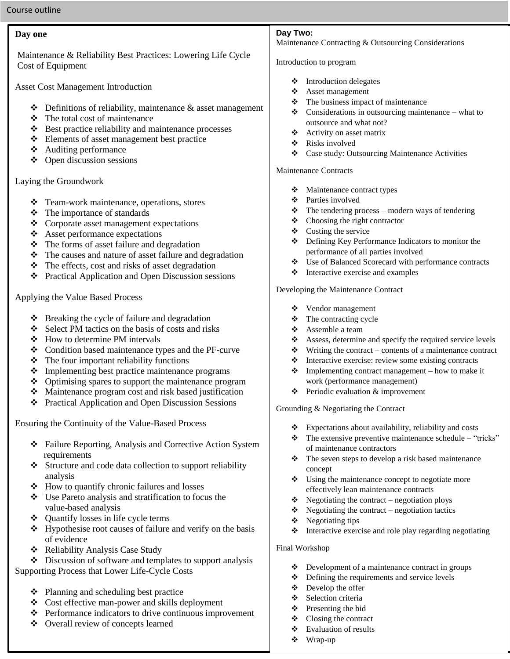### **Day one**

Maintenance & Reliability Best Practices: Lowering Life Cycle Cost of Equipment

Asset Cost Management Introduction

- $\triangle$  Definitions of reliability, maintenance & asset management
- $\div$  The total cost of maintenance
- $\triangle$  Best practice reliability and maintenance processes
- Elements of asset management best practice
- Auditing performance
- $\triangleleft$  Open discussion sessions

Laying the Groundwork

- Team-work maintenance, operations, stores
- $\div$  The importance of standards
- Corporate asset management expectations
- Asset performance expectations
- $\triangle$  The forms of asset failure and degradation
- $\triangleleft$  The causes and nature of asset failure and degradation
- $\triangle$  The effects, cost and risks of asset degradation
- Practical Application and Open Discussion sessions

Applying the Value Based Process

- $\triangle$  Breaking the cycle of failure and degradation
- $\div$  Select PM tactics on the basis of costs and risks
- How to determine PM intervals
- ❖ Condition based maintenance types and the PF-curve
- $\triangle$  The four important reliability functions
- Implementing best practice maintenance programs
- $\triangle$  Optimising spares to support the maintenance program
- Maintenance program cost and risk based justification
- Practical Application and Open Discussion Sessions

Ensuring the Continuity of the Value-Based Process

- Failure Reporting, Analysis and Corrective Action System requirements
- Structure and code data collection to support reliability analysis
- How to quantify chronic failures and losses
- Use Pareto analysis and stratification to focus the value-based analysis
- $\triangle$  Ouantify losses in life cycle terms
- $\triangle$  Hypothesise root causes of failure and verify on the basis of evidence
- Reliability Analysis Case Study

Discussion of software and templates to support analysis

Supporting Process that Lower Life-Cycle Costs

- ❖ Planning and scheduling best practice
- Cost effective man-power and skills deployment
- Performance indicators to drive continuous improvement
- Overall review of concepts learned

#### **Day Two:**

Maintenance Contracting & Outsourcing Considerations

#### Introduction to program

- ❖ Introduction delegates
- Asset management
- $\div$  The business impact of maintenance
- $\triangle$  Considerations in outsourcing maintenance what to outsource and what not?
- $\triangleleft$  Activity on asset matrix
- Risks involved
- Case study: Outsourcing Maintenance Activities

#### Maintenance Contracts

- Maintenance contract types
- Parties involved
- $\triangleleft$  The tendering process modern ways of tendering
- $\triangleleft$  Choosing the right contractor
- $\triangleleft$  Costing the service
- Defining Key Performance Indicators to monitor the performance of all parties involved
- Use of Balanced Scorecard with performance contracts
- $\triangleleft$  Interactive exercise and examples

Developing the Maintenance Contract

- Vendor management
- $\div$  The contracting cycle
- Assemble a team
- Assess, determine and specify the required service levels
- Writing the contract contents of a maintenance contract
- $\triangle$  Interactive exercise: review some existing contracts
- $\triangleleft$  Implementing contract management how to make it work (performance management)
- $\triangle$  Periodic evaluation & improvement

Grounding & Negotiating the Contract

- $\triangle$  Expectations about availability, reliability and costs
- $\mathbf{\hat{P}}$  The extensive preventive maintenance schedule "tricks" of maintenance contractors
- $\triangle$  The seven steps to develop a risk based maintenance concept
- $\bullet$  Using the maintenance concept to negotiate more effectively lean maintenance contracts
- $\bullet$  Negotiating the contract negotiation ploys
- $\triangle$  Negotiating the contract negotiation tactics
- $\triangleleft$  Negotiating tips
- $\triangleleft$  Interactive exercise and role play regarding negotiating

Final Workshop

- $\triangle$  Development of a maintenance contract in groups
- $\triangle$  Defining the requirements and service levels
- $\triangle$  Develop the offer
- Selection criteria
- $\triangle$  Presenting the bid
- $\triangleleft$  Closing the contract
- Evaluation of results
- Wrap-up